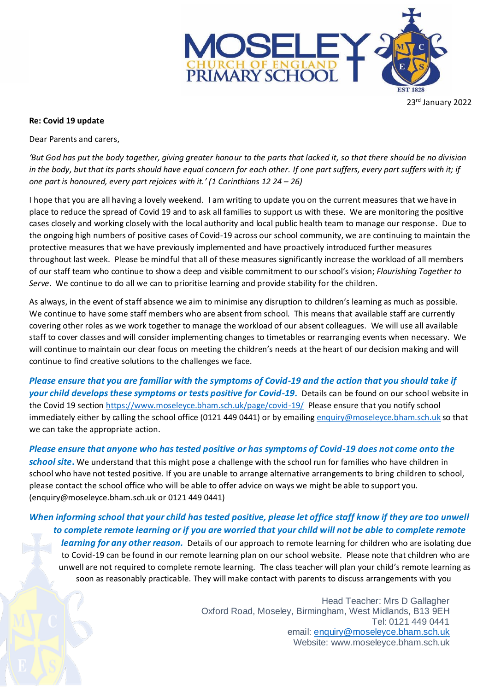

23rd January 2022

## **Re: Covid 19 update**

Dear Parents and carers,

*'But God has put the body together, giving greater honour to the parts that lacked it, so that there should be no division*  in the body, but that its parts should have equal concern for each other. If one part suffers, every part suffers with it; if *one part is honoured, every part rejoices with it.' (1 Corinthians 12 24 – 26)*

I hope that you are all having a lovely weekend. I am writing to update you on the current measures that we have in place to reduce the spread of Covid 19 and to ask all families to support us with these. We are monitoring the positive cases closely and working closely with the local authority and local public health team to manage our response. Due to the ongoing high numbers of positive cases of Covid-19 across our school community, we are continuing to maintain the protective measures that we have previously implemented and have proactively introduced further measures throughout last week. Please be mindful that all of these measures significantly increase the workload of all members of our staff team who continue to show a deep and visible commitment to our school's vision; *Flourishing Together to Serve*. We continue to do all we can to prioritise learning and provide stability for the children.

As always, in the event of staff absence we aim to minimise any disruption to children's learning as much as possible. We continue to have some staff members who are absent from school. This means that available staff are currently covering other roles as we work together to manage the workload of our absent colleagues. We will use all available staff to cover classes and will consider implementing changes to timetables or rearranging events when necessary. We will continue to maintain our clear focus on meeting the children's needs at the heart of our decision making and will continue to find creative solutions to the challenges we face.

*Please ensure that you are familiar with the symptoms of Covid-19 and the action that you should take if your child develops these symptoms or tests positive for Covid-19.* Details can be found on our school website in the Covid 19 sectio[n https://www.moseleyce.bham.sch.uk/page/covid-19/](https://www.moseleyce.bham.sch.uk/page/covid-19/) Please ensure that you notify school immediately either by calling the school office (0121 449 0441) or by emailin[g enquiry@moseleyce.bham.sch.uk](mailto:enquiry@moseleyce.bham.sch.uk) so that we can take the appropriate action.

*Please ensure that anyone who has tested positive or has symptoms of Covid-19 does not come onto the school site***.** We understand that this might pose a challenge with the school run for families who have children in school who have not tested positive. If you are unable to arrange alternative arrangements to bring children to school, please contact the school office who will be able to offer advice on ways we might be able to support you. (enquiry@moseleyce.bham.sch.uk or 0121 449 0441)

## *When informing school that your child has tested positive, please let office staff know if they are too unwell to complete remote learning or if you are worried that your child will not be able to complete remote*

*learning for any other reason.* Details of our approach to remote learning for children who are isolating due to Covid-19 can be found in our remote learning plan on our school website. Please note that children who are unwell are not required to complete remote learning. The class teacher will plan your child's remote learning as soon as reasonably practicable. They will make contact with parents to discuss arrangements with you

> Head Teacher: Mrs D Gallagher Oxford Road, Moseley, Birmingham, West Midlands, B13 9EH Tel: 0121 449 0441 email: [enquiry@moseleyce.bham.sch.uk](mailto:enquiry@moseleyce.bham.sch.uk) Website: www.moseleyce.bham.sch.uk